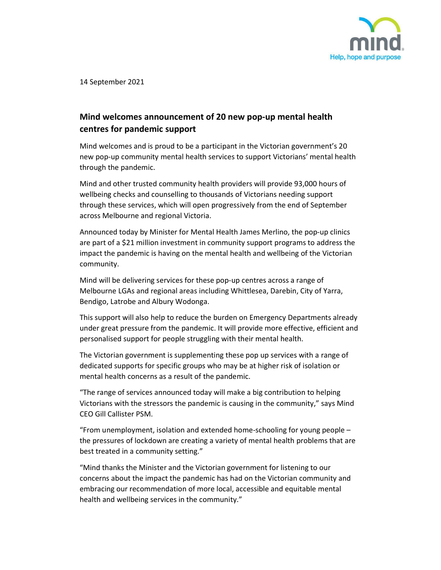

14 September 2021

## Mind welcomes announcement of 20 new pop-up mental health centres for pandemic support

Mind welcomes and is proud to be a participant in the Victorian government's 20 new pop-up community mental health services to support Victorians' mental health through the pandemic.

Mind and other trusted community health providers will provide 93,000 hours of wellbeing checks and counselling to thousands of Victorians needing support through these services, which will open progressively from the end of September across Melbourne and regional Victoria.

Announced today by Minister for Mental Health James Merlino, the pop-up clinics are part of a \$21 million investment in community support programs to address the impact the pandemic is having on the mental health and wellbeing of the Victorian community.

Mind will be delivering services for these pop-up centres across a range of Melbourne LGAs and regional areas including Whittlesea, Darebin, City of Yarra, Bendigo, Latrobe and Albury Wodonga.

This support will also help to reduce the burden on Emergency Departments already under great pressure from the pandemic. It will provide more effective, efficient and personalised support for people struggling with their mental health.

The Victorian government is supplementing these pop up services with a range of dedicated supports for specific groups who may be at higher risk of isolation or mental health concerns as a result of the pandemic.

"The range of services announced today will make a big contribution to helping Victorians with the stressors the pandemic is causing in the community," says Mind CEO Gill Callister PSM.

"From unemployment, isolation and extended home-schooling for young people – the pressures of lockdown are creating a variety of mental health problems that are best treated in a community setting."

"Mind thanks the Minister and the Victorian government for listening to our concerns about the impact the pandemic has had on the Victorian community and embracing our recommendation of more local, accessible and equitable mental health and wellbeing services in the community."